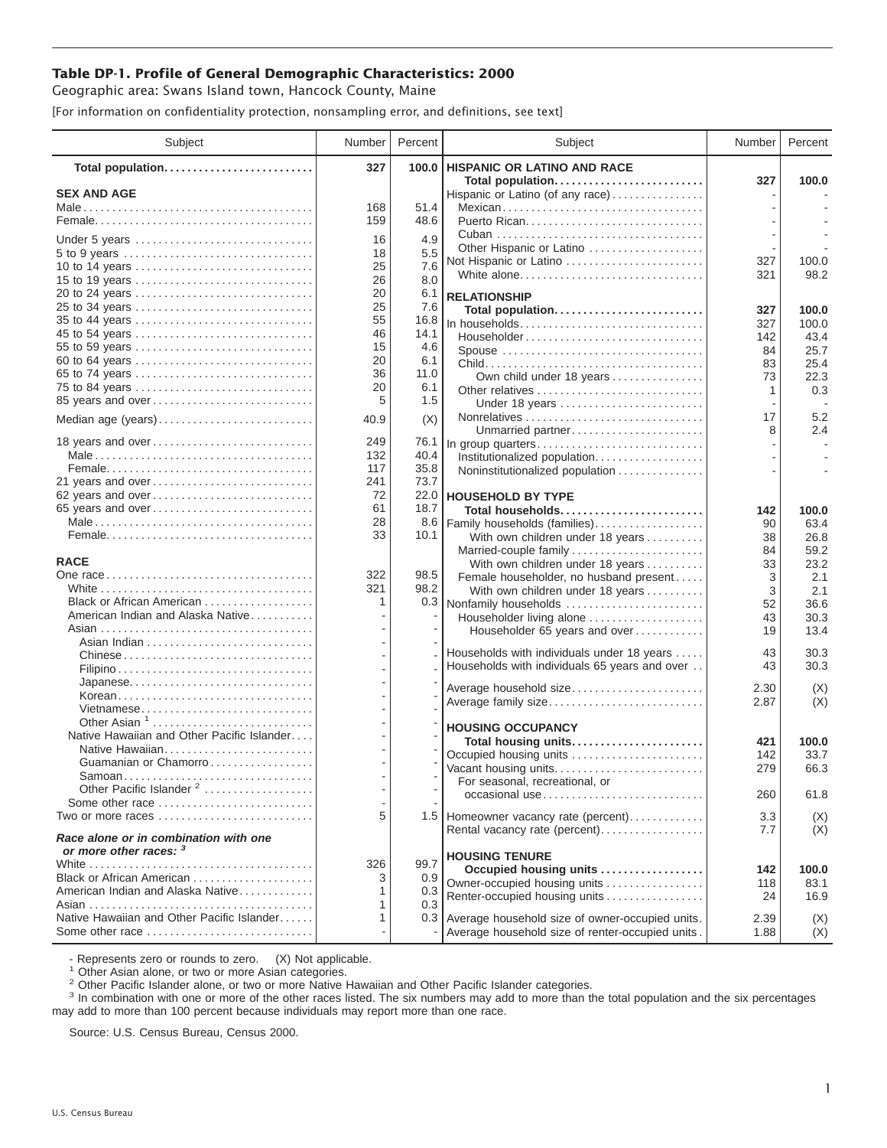## **Table DP-1. Profile of General Demographic Characteristics: 2000**

Geographic area: Swans Island town, Hancock County, Maine

[For information on confidentiality protection, nonsampling error, and definitions, see text]

| Subject                                       | Number     | Percent      | Subject                                                                         | Number     | Percent       |
|-----------------------------------------------|------------|--------------|---------------------------------------------------------------------------------|------------|---------------|
| Total population                              | 327        | 100.0        | <b>HISPANIC OR LATINO AND RACE</b>                                              |            |               |
| <b>SEX AND AGE</b>                            |            |              | Total population<br>Hispanic or Latino (of any race)                            | 327        | 100.0         |
|                                               | 168        | 51.4         | Mexican                                                                         |            |               |
|                                               | 159        | 48.6         |                                                                                 |            |               |
| Under 5 years                                 | 16         | 4.9          |                                                                                 |            |               |
| 5 to 9 years                                  | 18         | 5.5          | Other Hispanic or Latino                                                        |            |               |
| 10 to 14 years                                | 25         | 7.6          | Not Hispanic or Latino                                                          | 327        | 100.0         |
| 15 to 19 years                                | 26         | 8.0          | White alone                                                                     | 321        | 98.2          |
| 20 to 24 years                                | 20         | 6.1          | <b>RELATIONSHIP</b>                                                             |            |               |
| 25 to 34 years                                | 25         | 7.6          | Total population                                                                | 327        | 100.0         |
| 35 to 44 years                                | 55         | 16.8         | In households                                                                   | 327        | 100.0         |
| 45 to 54 years                                | 46         | 14.1         | $Householder \dots \dots \dots \dots \dots \dots \dots \dots \dots \dots \dots$ | 142        | 43.4          |
| 55 to 59 years                                | 15         | 4.6          | Spouse                                                                          | 84         | 25.7          |
| 60 to 64 years                                | 20         | 6.1          |                                                                                 | 83         | 25.4          |
| 65 to 74 years                                | 36<br>20   | 11.0<br>6.1  | Own child under 18 years                                                        | 73         | 22.3          |
| 75 to 84 years<br>85 years and over           | 5          | 1.5          | Other relatives<br>Under 18 years                                               | 1          | 0.3           |
| Median age (years)                            | 40.9       | (X)          |                                                                                 | 17         | 5.2           |
|                                               |            |              | Unmarried partner                                                               | 8          | 2.4           |
| 18 years and over                             | 249        | 76.1         | In group quarters                                                               |            |               |
|                                               | 132        | 40.4         | Institutionalized population                                                    |            |               |
|                                               | 117<br>241 | 35.8<br>73.7 | Noninstitutionalized population                                                 |            |               |
| 21 years and over<br>62 years and over        | 72         |              | 22.0 HOUSEHOLD BY TYPE                                                          |            |               |
| 65 years and over                             | 61         | 18.7         | Total households                                                                | 142        | 100.0         |
|                                               | 28         | 8.6          | Family households (families)                                                    | 90         | 63.4          |
|                                               | 33         | 10.1         | With own children under 18 years                                                | 38         | 26.8          |
|                                               |            |              | Married-couple family                                                           | 84         | 59.2          |
| <b>RACE</b>                                   |            |              | With own children under 18 years                                                | 33         | 23.2          |
|                                               | 322        | 98.5         | Female householder, no husband present                                          | 3          | 2.1           |
|                                               | 321        | 98.2         | With own children under 18 years                                                | 3          | 2.1           |
| Black or African American                     | 1          |              | 0.3 Nonfamily households                                                        | 52         | 36.6          |
| American Indian and Alaska Native             |            |              | Householder living alone                                                        | 43         | 30.3          |
|                                               |            |              | Householder 65 years and over                                                   | 19         | 13.4          |
|                                               |            |              | Households with individuals under 18 years                                      | 43         | 30.3          |
|                                               |            |              | Households with individuals 65 years and over                                   | 43         | 30.3          |
| Japanese                                      |            |              |                                                                                 |            |               |
| Korean                                        |            |              | Average household size                                                          | 2.30       | (X)<br>(X)    |
| Vietnamese                                    |            |              | Average family size                                                             | 2.87       |               |
| Other Asian <sup>1</sup>                      |            |              | <b>HOUSING OCCUPANCY</b>                                                        |            |               |
| Native Hawaiian and Other Pacific Islander    |            |              | Total housing units                                                             | 421        | 100.0         |
| Native Hawaiian                               |            |              | Occupied housing units                                                          | 142        | 33.7          |
| Guamanian or Chamorro                         |            |              | Vacant housing units                                                            | 279        | 66.3          |
| Samoan<br>Other Pacific Islander <sup>2</sup> |            |              | For seasonal, recreational, or                                                  |            |               |
| Some other race                               |            |              | occasional use                                                                  | 260        | 61.8          |
| Two or more races                             | 5          |              | 1.5 Homeowner vacancy rate (percent)                                            | 3.3        | (X)           |
| Race alone or in combination with one         |            |              | Rental vacancy rate (percent)                                                   | 7.7        | (X)           |
| or more other races: 3                        |            |              |                                                                                 |            |               |
|                                               | 326        | 99.7         | <b>HOUSING TENURE</b>                                                           |            |               |
| Black or African American                     | 3          | 0.9          | Occupied housing units<br>Owner-occupied housing units                          | 142<br>118 | 100.0<br>83.1 |
| American Indian and Alaska Native             | 1          | 0.3          | Renter-occupied housing units                                                   | 24         | 16.9          |
|                                               | 1          | 0.3          |                                                                                 |            |               |
| Native Hawaiian and Other Pacific Islander    | 1          | 0.3          | Average household size of owner-occupied units.                                 | 2.39       | (X)           |
| Some other race                               |            |              | Average household size of renter-occupied units.                                | 1.88       | (X)           |

- Represents zero or rounds to zero. (X) Not applicable.<br><sup>1</sup> Other Asian alone, or two or more Asian categories.

<sup>2</sup> Other Pacific Islander alone, or two or more Native Hawaiian and Other Pacific Islander categories.<br><sup>3</sup> In combination with one or more of the other races listed. The six numbers may add to more than the total populati may add to more than 100 percent because individuals may report more than one race.

Source: U.S. Census Bureau, Census 2000.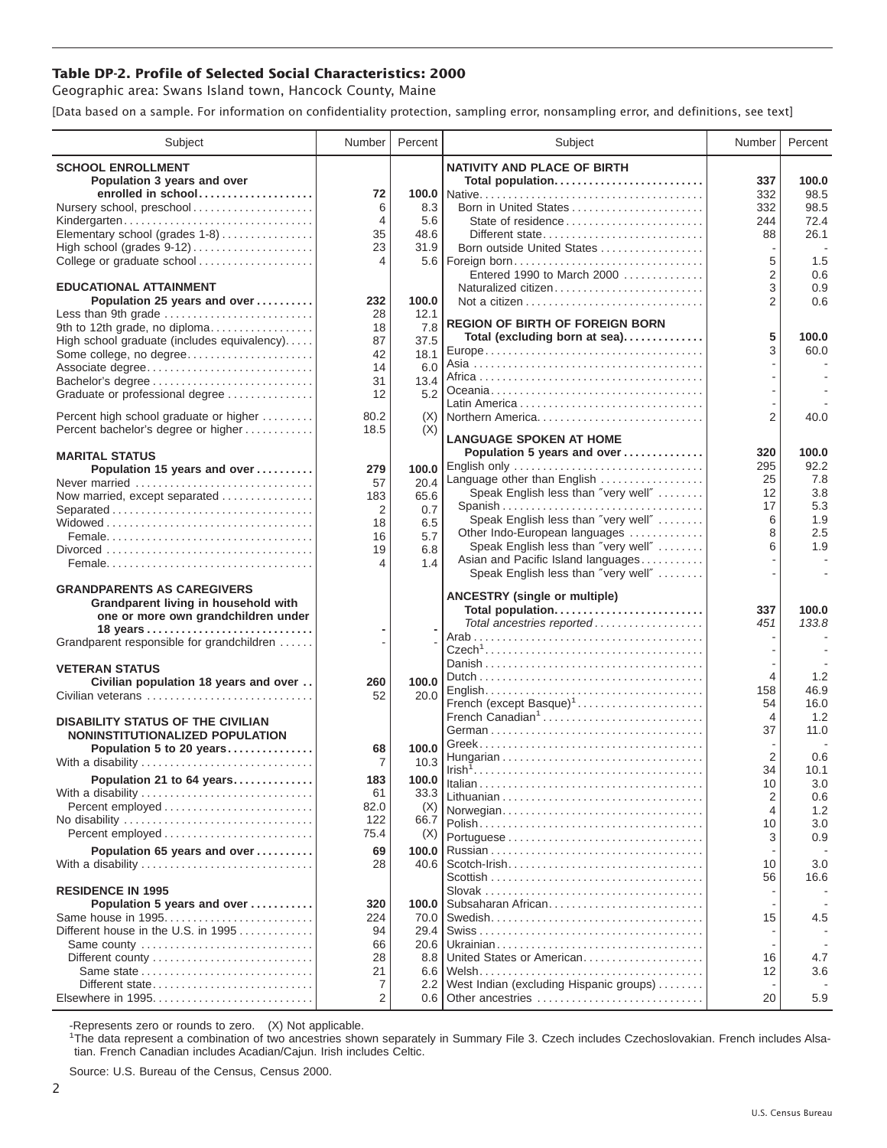## **Table DP-2. Profile of Selected Social Characteristics: 2000**

Geographic area: Swans Island town, Hancock County, Maine

[Data based on a sample. For information on confidentiality protection, sampling error, nonsampling error, and definitions, see text]

| Subject                                                    | Number         | Percent       | Subject                                                              | Number         | Percent     |
|------------------------------------------------------------|----------------|---------------|----------------------------------------------------------------------|----------------|-------------|
| <b>SCHOOL ENROLLMENT</b>                                   |                |               | <b>NATIVITY AND PLACE OF BIRTH</b>                                   |                |             |
| Population 3 years and over                                |                |               | Total population                                                     | 337            | 100.0       |
| enrolled in school                                         | 72             |               |                                                                      | 332            | 98.5        |
| Nursery school, preschool                                  | 6              | 8.3           | Born in United States                                                | 332            | 98.5        |
| Kindergarten                                               | $\overline{4}$ | 5.6           | State of residence                                                   | 244            | 72.4        |
| Elementary school (grades 1-8)                             | 35             | 48.6          |                                                                      | 88             | 26.1        |
| High school (grades 9-12)<br>College or graduate school    | 23<br>4        | 31.9          | Born outside United States<br>5.6   Foreign born                     | 5              | 1.5         |
|                                                            |                |               | Entered 1990 to March 2000                                           | $\overline{2}$ | 0.6         |
| <b>EDUCATIONAL ATTAINMENT</b>                              |                |               | Naturalized citizen                                                  | 3              | 0.9         |
| Population 25 years and over                               | 232            | 100.0         |                                                                      | $\overline{2}$ | 0.6         |
| Less than 9th grade                                        | 28             | 12.1          |                                                                      |                |             |
| 9th to 12th grade, no diploma                              | 18             | 7.8           | <b>REGION OF BIRTH OF FOREIGN BORN</b>                               | 5              | 100.0       |
| High school graduate (includes equivalency)                | 87             | 37.5          | Total (excluding born at sea)                                        | 3              | 60.0        |
| Some college, no degree                                    | 42<br>14       | 18.1<br>6.0   |                                                                      |                |             |
| Associate degree<br>Bachelor's degree                      | 31             | 13.4          |                                                                      |                |             |
| Graduate or professional degree                            | 12             | 5.2           |                                                                      |                |             |
|                                                            |                |               |                                                                      |                |             |
| Percent high school graduate or higher                     | 80.2           | (X)           | Northern America                                                     | $\overline{2}$ | 40.0        |
| Percent bachelor's degree or higher                        | 18.5           | (X)           | <b>LANGUAGE SPOKEN AT HOME</b>                                       |                |             |
| <b>MARITAL STATUS</b>                                      |                |               | Population 5 years and over                                          | 320            | 100.0       |
| Population 15 years and over                               | 279            | 100.0         | English only                                                         | 295            | 92.2        |
| Never married                                              | 57             | 20.4          | Language other than English                                          | 25             | 7.8         |
| Now married, except separated                              | 183            | 65.6          | Speak English less than "very well"                                  | 12             | 3.8         |
| Separated                                                  | 2              | 0.7           |                                                                      | 17             | 5.3         |
|                                                            | 18             | 6.5           | Speak English less than "very well"                                  | 6              | 1.9         |
|                                                            | 16             | 5.7           | Other Indo-European languages<br>Speak English less than "very well" | 8<br>6         | 2.5<br>1.9  |
|                                                            | 19             | 6.8           | Asian and Pacific Island languages                                   |                |             |
|                                                            | 4              | 1.4           | Speak English less than "very well"                                  |                |             |
| <b>GRANDPARENTS AS CAREGIVERS</b>                          |                |               |                                                                      |                |             |
| Grandparent living in household with                       |                |               | <b>ANCESTRY (single or multiple)</b>                                 |                |             |
| one or more own grandchildren under                        |                |               | Total population                                                     | 337            | 100.0       |
|                                                            |                |               | Total ancestries reported                                            | 451            | 133.8       |
| Grandparent responsible for grandchildren                  |                |               |                                                                      |                |             |
|                                                            |                |               |                                                                      |                |             |
| <b>VETERAN STATUS</b>                                      | 260            | 100.0         |                                                                      | 4              | 1.2         |
| Civilian population 18 years and over<br>Civilian veterans | 52             | 20.0          |                                                                      | 158            | 46.9        |
|                                                            |                |               | French (except Basque) <sup>1</sup>                                  | 54             | 16.0        |
| <b>DISABILITY STATUS OF THE CIVILIAN</b>                   |                |               | French Canadian <sup>1</sup>                                         | 4              | 1.2         |
| <b>NONINSTITUTIONALIZED POPULATION</b>                     |                |               |                                                                      | 37             | 11.0        |
| Population 5 to 20 years                                   | 68             | 100.0         |                                                                      | 2              | 0.6         |
| With a disability                                          | $\overline{7}$ | 10.3          |                                                                      | 34             | 10.1        |
| Population 21 to 64 years                                  | 183            | 100.0         |                                                                      | 10             | 3.0         |
| With a disability                                          | 61             | 33.3          |                                                                      | 2              | 0.6         |
| Percent employed                                           | 82.0           | (X)           | Norwegian                                                            | 4              | 1.2         |
| No disability                                              | 122            | 66.7          |                                                                      | 10             | 3.0         |
| Percent employed                                           | 75.4           | (X)           |                                                                      | 3              | 0.9         |
| Population 65 years and over                               | 69             | 100.0         |                                                                      |                |             |
| With a disability                                          | 28             | 40.6          |                                                                      | 10<br>56       | 3.0<br>16.6 |
| <b>RESIDENCE IN 1995</b>                                   |                |               |                                                                      |                |             |
| Population 5 years and over                                | 320            | 100.0         | Subsaharan African                                                   |                |             |
| Same house in 1995                                         | 224            | 70.0          |                                                                      | 15             | 4.5         |
| Different house in the U.S. in 1995                        | 94             | 29.4          |                                                                      |                |             |
| Same county                                                | 66             | 20.6          |                                                                      |                |             |
|                                                            | 28             | 8.8           | United States or American                                            | 16             | 4.7         |
| Same state                                                 | 21             | 6.6           |                                                                      | 12             | 3.6         |
| Different state                                            | 7              | $2.2^{\circ}$ | West Indian (excluding Hispanic groups)                              |                |             |
| Elsewhere in 1995                                          | 2              |               | 0.6 Other ancestries                                                 | 20             | 5.9         |

-Represents zero or rounds to zero. (X) Not applicable. 1 The data represent a combination of two ancestries shown separately in Summary File 3. Czech includes Czechoslovakian. French includes Alsatian. French Canadian includes Acadian/Cajun. Irish includes Celtic.

Source: U.S. Bureau of the Census, Census 2000.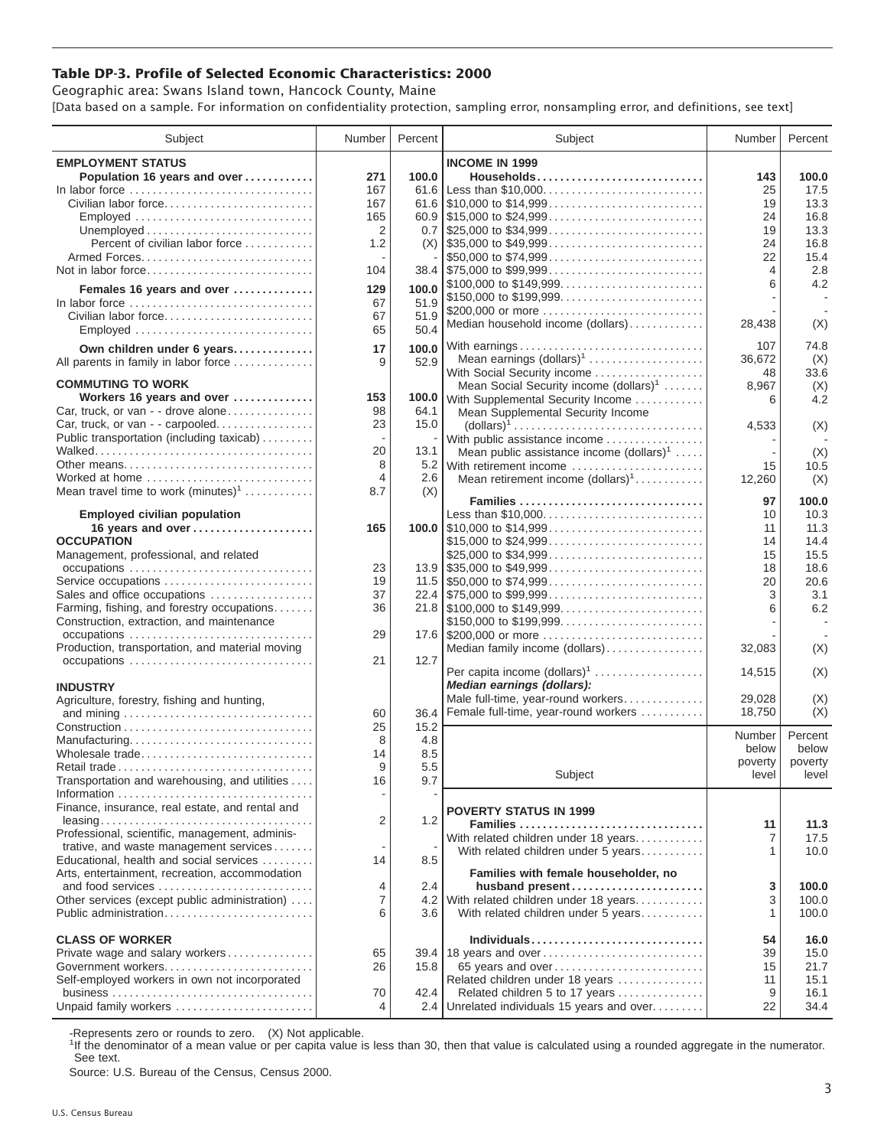## **Table DP-3. Profile of Selected Economic Characteristics: 2000**

Geographic area: Swans Island town, Hancock County, Maine [Data based on a sample. For information on confidentiality protection, sampling error, nonsampling error, and definitions, see text]

| Subject                                         | Number         | Percent | Subject                                                                                | Number         | Percent |
|-------------------------------------------------|----------------|---------|----------------------------------------------------------------------------------------|----------------|---------|
| <b>EMPLOYMENT STATUS</b>                        |                |         | <b>INCOME IN 1999</b>                                                                  |                |         |
| Population 16 years and over                    | 271            | 100.0   | Households                                                                             | 143            | 100.0   |
| In labor force                                  | 167            |         | 61.6 Less than \$10,000                                                                | 25             | 17.5    |
| Civilian labor force                            | 167            |         |                                                                                        | 19             | 13.3    |
| Employed                                        | 165            |         |                                                                                        | 24             | 16.8    |
|                                                 | $\overline{2}$ |         | $0.7$   \$25,000 to \$34,999                                                           | 19             | 13.3    |
| Percent of civilian labor force                 | 1.2            |         | $(X)$ \\ \$35,000 to \$49,999                                                          | 24             | 16.8    |
|                                                 |                |         | \$50,000 to \$74,999                                                                   | 22             | 15.4    |
|                                                 |                |         | $38.4$ \\ \$75,000 to \$99,999                                                         | $\overline{4}$ | 2.8     |
| Not in labor force                              | 104            |         |                                                                                        | 6              | 4.2     |
| Females 16 years and over                       | 129            | 100.0   | \$100,000 to \$149,999                                                                 |                |         |
| In labor force                                  | 67             | 51.9    | \$150,000 to \$199,999                                                                 |                |         |
| Civilian labor force                            | 67             | 51.9    | \$200,000 or more                                                                      |                |         |
|                                                 | 65             | 50.4    | Median household income (dollars)                                                      | 28,438         | (X)     |
| Own children under 6 years                      | 17             | 100.0   | With earnings                                                                          | 107            | 74.8    |
| All parents in family in labor force            | 9              | 52.9    | Mean earnings $(dollars)1$                                                             | 36,672         | (X)     |
|                                                 |                |         | With Social Security income                                                            | 48             | 33.6    |
| <b>COMMUTING TO WORK</b>                        |                |         | Mean Social Security income $(dollars)^1$                                              | 8,967          | (X)     |
| Workers 16 years and over                       | 153            | 100.0   | With Supplemental Security Income                                                      | 6              | 4.2     |
| Car, truck, or van - - drove alone              | 98             | 64.1    | Mean Supplemental Security Income                                                      |                |         |
| Car, truck, or van - - carpooled                | 23             | 15.0    | $\text{(dollars)}^1 \dots \dots \dots \dots \dots \dots \dots \dots \dots \dots \dots$ | 4,533          | (X)     |
| Public transportation (including taxicab)       |                |         | With public assistance income                                                          |                |         |
|                                                 | 20             | 13.1    | Mean public assistance income $(dollars)1 \ldots$ .                                    |                | (X)     |
| Other means                                     | 8              |         | 5.2 With retirement income                                                             | 15             | 10.5    |
| Worked at home                                  | 4              | 2.6     | Mean retirement income $(dollars)1$                                                    | 12,260         | (X)     |
| Mean travel time to work $(minutes)^1$          | 8.7            | (X)     |                                                                                        |                |         |
|                                                 |                |         | Families                                                                               | 97             | 100.0   |
| <b>Employed civilian population</b>             |                |         | Less than \$10,000                                                                     | 10             | 10.3    |
| 16 years and over                               | 165            |         |                                                                                        | 11             | 11.3    |
| <b>OCCUPATION</b>                               |                |         | \$15,000 to \$24,999                                                                   | 14             | 14.4    |
| Management, professional, and related           |                |         |                                                                                        | 15             | 15.5    |
| occupations                                     | 23             |         |                                                                                        | 18             | 18.6    |
| Service occupations                             | 19             |         |                                                                                        | 20             | 20.6    |
| Sales and office occupations                    | 37             |         |                                                                                        | 3              | 3.1     |
| Farming, fishing, and forestry occupations      | 36             |         |                                                                                        | 6              | 6.2     |
| Construction, extraction, and maintenance       |                |         | \$150,000 to \$199,999                                                                 |                |         |
| occupations                                     | 29             |         |                                                                                        |                |         |
| Production, transportation, and material moving |                |         | Median family income (dollars)                                                         | 32,083         | (X)     |
|                                                 | 21             | 12.7    |                                                                                        |                |         |
|                                                 |                |         | Per capita income (dollars) <sup>1</sup>                                               | 14,515         | (X)     |
| <b>INDUSTRY</b>                                 |                |         | Median earnings (dollars):                                                             |                |         |
| Agriculture, forestry, fishing and hunting,     |                |         | Male full-time, year-round workers                                                     | 29,028         | (X)     |
|                                                 | 60             | 36.4    | Female full-time, year-round workers                                                   | 18,750         | (X)     |
|                                                 | 25             | 15.2    |                                                                                        |                |         |
| Manufacturing                                   | 8              | 4.8     |                                                                                        | Number         | Percent |
| Wholesale trade                                 | 14             | 8.5     |                                                                                        | below          | below   |
| Retail trade                                    | 9              | 5.5     |                                                                                        | poverty        | poverty |
| Transportation and warehousing, and utilities   | 16             | 9.7     | Subject                                                                                | level          | level   |
|                                                 |                |         |                                                                                        |                |         |
| Finance, insurance, real estate, and rental and |                |         | <b>POVERTY STATUS IN 1999</b>                                                          |                |         |
|                                                 | 2              | 1.2     | Families                                                                               | 11             | 11.3    |
| Professional, scientific, management, adminis-  |                |         | With related children under 18 years                                                   | 7              | 17.5    |
| trative, and waste management services          |                |         | With related children under 5 years                                                    | 1              | 10.0    |
| Educational, health and social services         | 14             | 8.5     |                                                                                        |                |         |
| Arts, entertainment, recreation, accommodation  |                |         | Families with female householder, no                                                   |                |         |
| and food services                               | 4              | 2.4     | husband present                                                                        | 3              | 100.0   |
| Other services (except public administration)   | 7              |         | 4.2 With related children under 18 years                                               | 3              | 100.0   |
| Public administration                           | 6              | 3.6     | With related children under 5 years                                                    | 1              | 100.0   |
|                                                 |                |         |                                                                                        |                |         |
| <b>CLASS OF WORKER</b>                          |                |         | Individuals                                                                            | 54             | 16.0    |
| Private wage and salary workers                 | 65             |         | 39.4 18 years and over                                                                 | 39             | 15.0    |
| Government workers                              | 26             | 15.8    | 65 years and over                                                                      | 15             | 21.7    |
| Self-employed workers in own not incorporated   |                |         | Related children under 18 years                                                        | 11             | 15.1    |
|                                                 | 70             | 42.4    | Related children 5 to 17 years                                                         | 9              | 16.1    |
| Unpaid family workers                           | 4              |         | 2.4 Unrelated individuals 15 years and over                                            | 22             | 34.4    |

-Represents zero or rounds to zero. (X) Not applicable.

<sup>1</sup>If the denominator of a mean value or per capita value is less than 30, then that value is calculated using a rounded aggregate in the numerator. See text.

Source: U.S. Bureau of the Census, Census 2000.